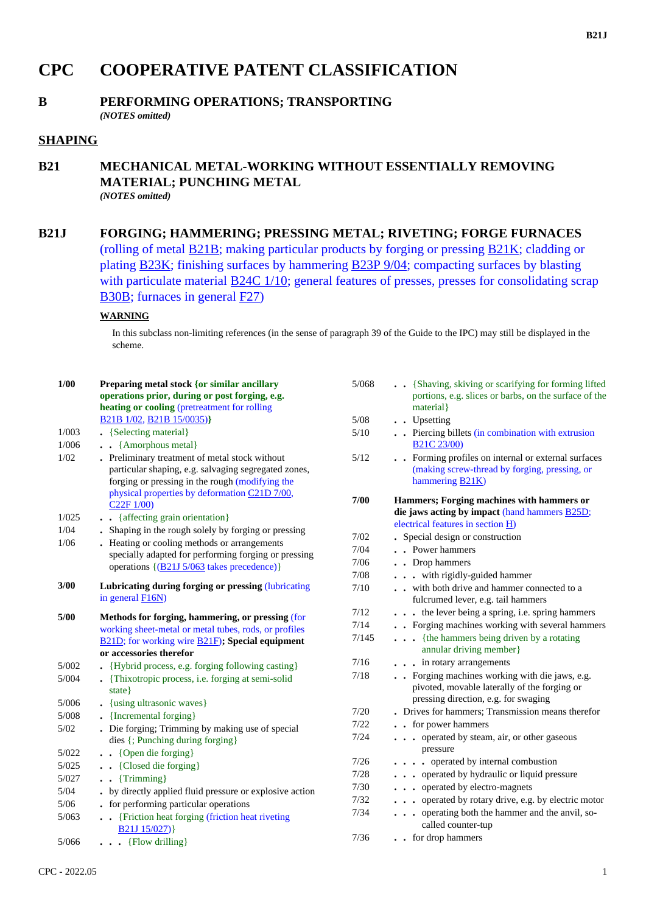# **CPC COOPERATIVE PATENT CLASSIFICATION**

#### **B PERFORMING OPERATIONS; TRANSPORTING** *(NOTES omitted)*

# **SHAPING**

### **B21 MECHANICAL METAL-WORKING WITHOUT ESSENTIALLY REMOVING MATERIAL; PUNCHING METAL** *(NOTES omitted)*

## **B21J FORGING; HAMMERING; PRESSING METAL; RIVETING; FORGE FURNACES**

(rolling of metal B21B; making particular products by forging or pressing B21K; cladding or plating B23K; finishing surfaces by hammering B23P 9/04; compacting surfaces by blasting with particulate material B24C 1/10; general features of presses, presses for consolidating scrap B30B; furnaces in general F27)

#### **WARNING**

In this subclass non-limiting references (in the sense of paragraph 39 of the Guide to the IPC) may still be displayed in the scheme.

| 1/00   | Preparing metal stock {or similar ancillary<br>operations prior, during or post forging, e.g.<br>heating or cooling (pretreatment for rolling             | 5/068  | . {Shaving, skiving or scarifying for forming lifted<br>portions, e.g. slices or barbs, on the surface of the<br>material }     |
|--------|-----------------------------------------------------------------------------------------------------------------------------------------------------------|--------|---------------------------------------------------------------------------------------------------------------------------------|
|        | B21B 1/02, B21B 15/0035)}                                                                                                                                 | $5/08$ | . . Upsetting                                                                                                                   |
| 1/003  | • {Selecting material}                                                                                                                                    | $5/10$ | . . Piercing billets (in combination with extrusion                                                                             |
| 1/006  | . . {Amorphous metal}                                                                                                                                     |        | <b>B21C 23/00)</b>                                                                                                              |
| 1/02   | . Preliminary treatment of metal stock without<br>particular shaping, e.g. salvaging segregated zones,<br>forging or pressing in the rough (modifying the | 5/12   | . Forming profiles on internal or external surfaces<br>(making screw-thread by forging, pressing, or<br>hammering <b>B21K</b> ) |
|        | physical properties by deformation C21D 7/00,<br>C22F1/00                                                                                                 | 7/00   | Hammers; Forging machines with hammers or                                                                                       |
| 1/025  | . {affecting grain orientation}                                                                                                                           |        | die jaws acting by impact (hand hammers <b>B25D</b> ;                                                                           |
| 1/04   | . Shaping in the rough solely by forging or pressing                                                                                                      |        | electrical features in section $H$ )                                                                                            |
| 1/06   | Heating or cooling methods or arrangements                                                                                                                | 7/02   | . Special design or construction                                                                                                |
|        | specially adapted for performing forging or pressing<br>operations {(B21J 5/063 takes precedence)}                                                        | 7/04   | . . Power hammers                                                                                                               |
|        |                                                                                                                                                           | 7/06   | . . Drop hammers                                                                                                                |
|        |                                                                                                                                                           | 7/08   | . with rigidly-guided hammer                                                                                                    |
| 3/00   | Lubricating during forging or pressing (lubricating                                                                                                       | 7/10   | . . with both drive and hammer connected to a                                                                                   |
|        | in general <b>F16N</b> )                                                                                                                                  |        | fulcrumed lever, e.g. tail hammers                                                                                              |
| 5/00   | Methods for forging, hammering, or pressing (for                                                                                                          | 7/12   | . the lever being a spring, i.e. spring hammers                                                                                 |
|        | working sheet-metal or metal tubes, rods, or profiles                                                                                                     | 7/14   | . Forging machines working with several hammers                                                                                 |
|        | <b>B21D</b> ; for working wire <b>B21F</b> ); Special equipment                                                                                           | 7/145  | . {the hammers being driven by a rotating                                                                                       |
|        | or accessories therefor                                                                                                                                   |        | annular driving member}                                                                                                         |
| 5/002  | • {Hybrid process, e.g. forging following casting}                                                                                                        | 7/16   | . in rotary arrangements                                                                                                        |
| 5/004  | • {Thixotropic process, i.e. forging at semi-solid<br>state }                                                                                             | 7/18   | Forging machines working with die jaws, e.g.<br>pivoted, movable laterally of the forging or                                    |
| 5/006  | . {using ultrasonic waves}                                                                                                                                |        | pressing direction, e.g. for swaging                                                                                            |
| 5/008  | • {Incremental forging}                                                                                                                                   | 7/20   | . Drives for hammers; Transmission means therefor                                                                               |
| 5/02   | . Die forging; Trimming by making use of special                                                                                                          | 7/22   | . . for power hammers                                                                                                           |
|        | dies {; Punching during forging}                                                                                                                          | 7/24   | . operated by steam, air, or other gaseous                                                                                      |
| 5/022  | . . {Open die forging}                                                                                                                                    |        | pressure                                                                                                                        |
| 5/025  | . {Closed die forging}                                                                                                                                    | 7/26   | . operated by internal combustion                                                                                               |
| 5/027  | $\bullet$ {Trimming}                                                                                                                                      | 7/28   | . operated by hydraulic or liquid pressure                                                                                      |
| $5/04$ | . by directly applied fluid pressure or explosive action                                                                                                  | 7/30   | . operated by electro-magnets                                                                                                   |
| $5/06$ | . for performing particular operations                                                                                                                    | 7/32   | . operated by rotary drive, e.g. by electric motor                                                                              |
| 5/063  | . Friction heat forging (friction heat riveting<br>B21J 15/027)}                                                                                          | 7/34   | operating both the hammer and the anvil, so-<br>called counter-tup                                                              |
| 5/066  | $\ldots$ {Flow drilling}                                                                                                                                  | 7/36   | . . for drop hammers                                                                                                            |